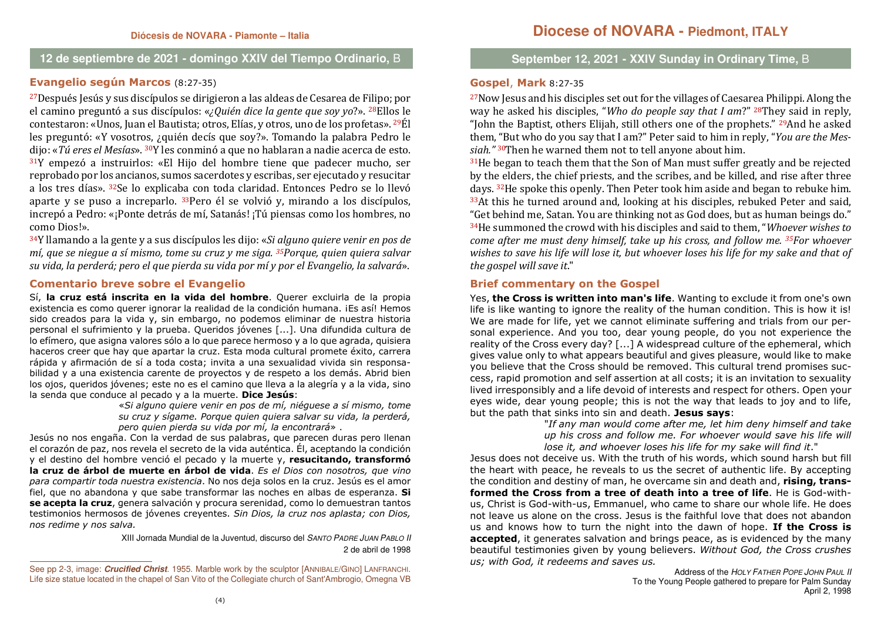# **12 de septiembre de 2021 - domingo XXIV del Tiempo Ordinario,** B

# **Evangelio según Marcos** (8:27-35)

27Después Jesús y sus discípulos se dirigieron a las aldeas de Cesarea de Filipo; por el camino preguntó a sus discípulos: «*¿Quién dice la gente que soy yo*?». 28Ellos le contestaron: «Unos, Juan el Bautista; otros, Elías, y otros, uno de los profetas». 29Él les preguntó: «Y vosotros, ¿quién decís que soy?». Tomando la palabra Pedro le dijo: «*Tú eres el Mesías*». <sup>30</sup>Y les conminó a que no hablaran a nadie acerca de esto.  $31Y$  empezó a instruirlos: «El Hijo del hombre tiene que padecer mucho, ser reprobado por los ancianos, sumos sacerdotes y escribas, ser ejecutado y resucitar a los tres días». 32Se lo explicaba con toda claridad. Entonces Pedro se lo llevó aparte y se puso a increparlo. <sup>33</sup>Pero él se volvió y, mirando a los discípulos, increpó a Pedro: «¡Ponte detrás de mí, Satanás! ¡Tú piensas como los hombres, no como Dios!».

 34Y llamando a la gente y a sus discípulos les dijo: «*Si alguno quiere venir en pos de mí, que se niegue a sí mismo, tome su cruz y me siga. 35Porque, quien quiera salvar su vida, la perderá; pero el que pierda su vida por mí y por el Evangelio, la salvará*».

### **Comentario breve sobre el Evangelio**

 Sí, **la cruz está inscrita en la vida del hombre**. Querer excluirla de la propia existencia es como querer ignorar la realidad de la condición humana. ¡Es así! Hemos sido creados para la vida y, sin embargo, no podemos eliminar de nuestra historia personal el sufrimiento y la prueba. Queridos jóvenes [...]. Una difundida cultura de lo efímero, que asigna valores sólo a lo que parece hermoso y a lo que agrada, quisiera haceros creer que hay que apartar la cruz. Esta moda cultural promete éxito, carrera rápida y afirmación de sí a toda costa; invita a una sexualidad vivida sin responsabilidad y a una existencia carente de proyectos y de respeto a los demás. Abrid bien los ojos, queridos jóvenes; este no es el camino que lleva a la alegría y a la vida, sino la senda que conduce al pecado y a la muerte. **Dice Jesús**:

> «*Si alguno quiere venir en pos de mí, niéguese a sí mismo, tome su cruz y sígame. Porque quien quiera salvar su vida, la perderá, pero quien pierda su vida por mí, la encontrará*» .

 Jesús no nos engaña. Con la verdad de sus palabras, que parecen duras pero llenan el corazón de paz, nos revela el secreto de la vida auténtica. Él, aceptando la condición y el destino del hombre venció el pecado y la muerte y, **resucitando, transformó la cruz de árbol de muerte en árbol de vida**. *Es el Dios con nosotros, que vino para compartir toda nuestra existencia*. No nos deja solos en la cruz. Jesús es el amor fiel, que no abandona y que sabe transformar las noches en albas de esperanza. **Si se acepta la cruz**, genera salvación y procura serenidad, como lo demuestran tantos testimonios hermosos de jóvenes creyentes. *Sin Dios, la cruz nos aplasta; con Dios, nos redime y nos salva.*

> XIII Jornada Mundial de la Juventud, discurso del SANTO PADRE JUAN PABLO II2 de abril de 1998

# **September 12, 2021 - XXIV Sunday in Ordinary Time,** B

# **Gospel**, **Mark** 8:27-35

27Now Jesus and his disciples set out for the villages of Caesarea Philippi. Along the way he asked his disciples, "*Who do people say that I am*?" 28They said in reply, "John the Baptist, others Elijah, still others one of the prophets." <sup>29</sup>And he asked them, "But who do you say that I am?" Peter said to him in reply, "*You are the Messiah."* 30Then he warned them not to tell anyone about him.

<sup>31</sup>He began to teach them that the Son of Man must suffer greatly and be rejected by the elders, the chief priests, and the scribes, and be killed, and rise after three days. <sup>32</sup>He spoke this openly. Then Peter took him aside and began to rebuke him. 33At this he turned around and, looking at his disciples, rebuked Peter and said, "Get behind me, Satan. You are thinking not as God does, but as human beings do." 34He summoned the crowd with his disciples and said to them, "*Whoever wishes to come after me must deny himself, take up his cross, and follow me. 35For whoever wishes to save his life will lose it, but whoever loses his life for my sake and that of the gospel will save it*."

# **Brief commentary on the Gospel**

 Yes, **the Cross is written into man's life**. Wanting to exclude it from one's own life is like wanting to ignore the reality of the human condition. This is how it is! We are made for life, yet we cannot eliminate suffering and trials from our personal experience. And you too, dear young people, do you not experience the reality of the Cross every day? [...] A widespread culture of the ephemeral, which gives value only to what appears beautiful and gives pleasure, would like to make you believe that the Cross should be removed. This cultural trend promises success, rapid promotion and self assertion at all costs; it is an invitation to sexuality lived irresponsibly and a life devoid of interests and respect for others. Open your eyes wide, dear young people; this is not the way that leads to joy and to life, but the path that sinks into sin and death. **Jesus says**:

> "*If any man would come after me, let him deny himself and take up his cross and follow me. For whoever would save his life will lose it, and whoever loses his life for my sake will find it*."

 Jesus does not deceive us. With the truth of his words, which sound harsh but fill the heart with peace, he reveals to us the secret of authentic life. By accepting the condition and destiny of man, he overcame sin and death and, **rising, transformed the Cross from a tree of death into a tree of life**. He is God-withus, Christ is God-with-us, Emmanuel, who came to share our whole life. He does not leave us alone on the cross. Jesus is the faithful love that does not abandon us and knows how to turn the night into the dawn of hope. **If the Cross is accepted**, it generates salvation and brings peace, as is evidenced by the many beautiful testimonies given by young believers. *Without God, the Cross crushes us; with God, it redeems and saves us.*

> Address of the HOLY FATHER POPE JOHN PAUL II To the Young People gathered to prepare for Palm Sunday April 2, 1998

See pp 2-3, image: **Crucified Christ**. 1955. Marble work by the sculptor [ANNIBALE/GINO] LANFRANCHI. Life size statue located in the chapel of San Vito of the Collegiate church of Sant'Ambrogio, Omegna VB